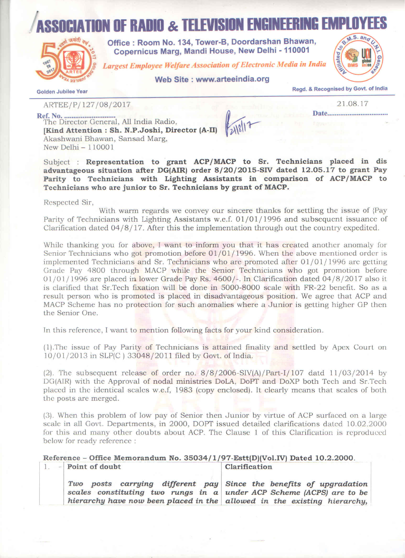# **ION OF RADIO & TELEVISION ENGINEER**



Office: Room No. 134, Tower-B. Doordarshan Bhawan. Copernicus Marg. Mandi House, New Delhi - 110001

**Largest Employee Welfare Association of Electronic Media in India** 

## Web Site : www.arteeindia.org



**Golden Jubilee Year** 

Regd. & Recognised by Govt. of India

21.08.17

Date...................................

ARTEE/P/127/08/2017

[Kind Attention : Sh. N.P.Joshi, Director (A-II) Akashwani Bhawan, Sansad Marg, New Delhi $-110001$ 

Subject : Representation to grant ACP/MACP to Sr. Technicians placed in dis advantageous situation after DG(AIR) order 8/20/2015-SIV dated 12.05.17 to grant Pay Parity to Technicians with Lighting Assistants in comparison of ACP/MACP to Technicians who are junior to Sr. Technicians by grant of MACP.

Respected Sir,

With warm regards we convey our sincere thanks for settling the issue of {Pay Parity of Technicians with Lighting Assistants w.e.f. 01/01/1996 and subsequent issuance of Clarification dated  $04/8/17$ . After this the implementation through out the country expedited.

While thanking you for above, I want to inform you that it has created another anomaly for Senior Technicians who got promotion before  $01/01/1996$ . When the above mentioned order is implemented Technicians and Sr. Technicians who are promoted after  $01/01/1996$  are getting Grade Pay 4800 through MACP while the Senior Technicians who got promotion before  $01/01/1996$  are placed in lower Grade Pay Rs. 4600/-. In Clarification dated 04/8/2017 also it is clarified that Sr. Tech fixation will be done in 5000-8000 scale with FR-22 benefit. So as a result person who is promoted is placed in disadvantageous position. We agree that ACP and MACP Scheme has no protection for such anomalies where a Junior is getting higher GP then the Senior One.

In this reference, I want to mention following facts for your kind consideration.

(1). The issue of Pay Parity of Technicians is attained finality and settled by Apex Court on 10/01/2013 in SLP(C) 33048/2011 filed by Govt. of India.

(2). The subsequent release of order no.  $8/8/2006-SIV(A)/Part-I/107$  datd  $11/03/2014$  by DG(AIR) with the Approval of nodal ministries DoLA, DoPT and DoXP both Tech and Sr.Tech placed in the identical scales w.e.f, 1983 (copy enclosed). It clearly means that scales of both the posts are merged.

(3). When this problem of low pay of Senior then Junior by virtue of ACP surfaced on a large scale in all Govt. Departments, in 2000, DOPT issued detailed clarifications dated 10.02.2000 for this and many other doubts about ACP. The Clause 1 of this Clarification is reproduced below for ready reference :

#### Reference - Office Memorandum No. 35034/1/97-Estt(D)(Vol.IV) Dated 10.2.2000. Point of doubt Clarification  $1.$

Two posts carrying different pay Since the benefits of upgradation scales constituting two rungs in a under ACP Scheme (ACPS) are to be hierarchy have now been placed in the allowed in the existing hierarchy,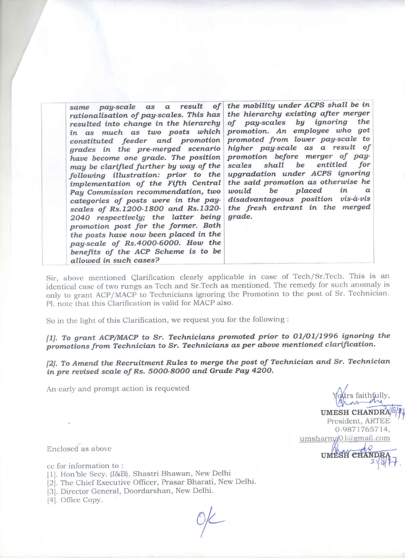| same pay-scale as a result of the mobility under ACPS shall be in<br>rationalisation of pay-scales. This has<br>resulted into change in the hierarchy<br>in as much as two posts which<br>constituted feeder and promotion<br>grades in the pre-merged scenario<br>have become one grade. The position<br>may be clarified further by way of the<br>following illustration: prior to the<br>implementation of the Fifth Central<br>Pay Commission recommendation, two<br>categories of posts were in the pay-<br>scales of Rs.1200-1800 and Rs.1320-<br>2040 respectively; the latter being<br>promotion post for the former. Both<br>the posts have now been placed in the<br>pay-scale of Rs.4000-6000. How the<br>benefits of the ACP Scheme is to be<br>allowed in such cases? | the hierarchy existing after merger<br>of pay-scales by ignoring the<br>promotion. An employee who got<br>promoted from lower pay-scale to<br>higher pay-scale as a result of<br>promotion before merger of pay-<br>scales shall be entitled for<br>upgradation under ACPS ignoring<br>the said promotion as otherwise he<br>would be placed<br>in<br>$\alpha$<br>disadvantageous position vis-à-vis<br>the fresh entrant in the merged<br>grade. |
|------------------------------------------------------------------------------------------------------------------------------------------------------------------------------------------------------------------------------------------------------------------------------------------------------------------------------------------------------------------------------------------------------------------------------------------------------------------------------------------------------------------------------------------------------------------------------------------------------------------------------------------------------------------------------------------------------------------------------------------------------------------------------------|---------------------------------------------------------------------------------------------------------------------------------------------------------------------------------------------------------------------------------------------------------------------------------------------------------------------------------------------------------------------------------------------------------------------------------------------------|
|------------------------------------------------------------------------------------------------------------------------------------------------------------------------------------------------------------------------------------------------------------------------------------------------------------------------------------------------------------------------------------------------------------------------------------------------------------------------------------------------------------------------------------------------------------------------------------------------------------------------------------------------------------------------------------------------------------------------------------------------------------------------------------|---------------------------------------------------------------------------------------------------------------------------------------------------------------------------------------------------------------------------------------------------------------------------------------------------------------------------------------------------------------------------------------------------------------------------------------------------|

Sir, above mentioned Clarification clearly applicable in case of Tech/Sr.Tech. This is an identical case of two rungs as Tech and Sr.Tech as mentioned. The remedy for such anomaly is only to grant ACP/MACP to Technicians ignoring the Promotion to the post of Sr. Technician. Pl. note that this Clarification is valid for MACP also.

So in the light of this Clarification, we request you for the following :

[1]. To grant ACP/MACP to Sr. Technicians promoted prior to 01/01/1996 ignoring the promotions from Technician to Sr. Technicians as per above mentioned clarification.

[2]. To Amend the Recruitment Rules to merge the post of Technician and Sr. Technician in pre revised scale of Rs. 5000-8000 and Grade Pay 4200.

An early and prompt action is requested

s faithfully,

UMESH CHANDRA<sup>[8]</sup> President, ARTEE 0-9871765714, umsharma01@gmail.com

UMESH CHANDR

Enclosed as above

cc for information to:

- [1]. Hon'ble Secy. (I&B), Shastri Bhawan, New Delhi
- [2]. The Chief Executive Officer, Prasar Bharati, New Delhi.
- [3]. Director General, Doordarshan, New Delhi.
- [4]. Office Copy.